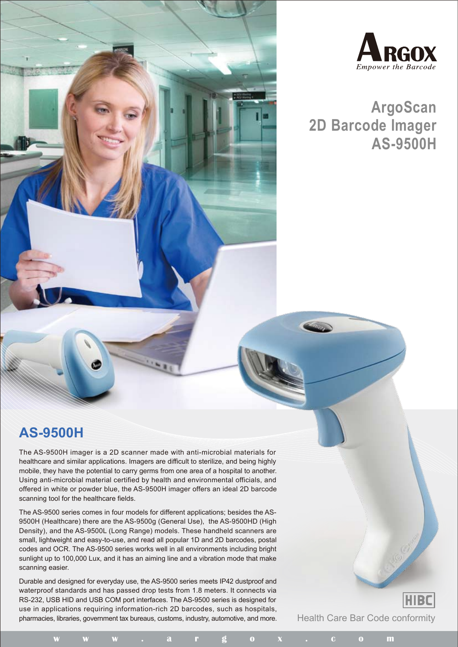



**ArgoScan 2D Barcode Imager AS-9500H**

## **AS-9500H**

The AS-9500H imager is a 2D scanner made with anti-microbial materials for healthcare and similar applications. Imagers are difficult to sterilize, and being highly mobile, they have the potential to carry germs from one area of a hospital to another. Using anti-microbial material certified by health and environmental officials, and offered in white or powder blue, the AS-9500H imager offers an ideal 2D barcode scanning tool for the healthcare fields.

The AS-9500 series comes in four models for different applications; besides the AS-9500H (Healthcare) there are the AS-9500g (General Use), the AS-9500HD (High Density), and the AS-9500L (Long Range) models. These handheld scanners are small, lightweight and easy-to-use, and read all popular 1D and 2D barcodes, postal codes and OCR. The AS-9500 series works well in all environments including bright sunlight up to 100,000 Lux, and it has an aiming line and a vibration mode that make scanning easier.

Durable and designed for everyday use, the AS-9500 series meets IP42 dustproof and waterproof standards and has passed drop tests from 1.8 meters. It connects via RS-232, USB HID and USB COM port interfaces. The AS-9500 series is designed for use in applications requiring information-rich 2D barcodes, such as hospitals, pharmacies, libraries, government tax bureaus, customs, industry, automotive, and more.

**w w w . a r g o x . c o m**

Health Care Bar Code conformity

**HIBC**